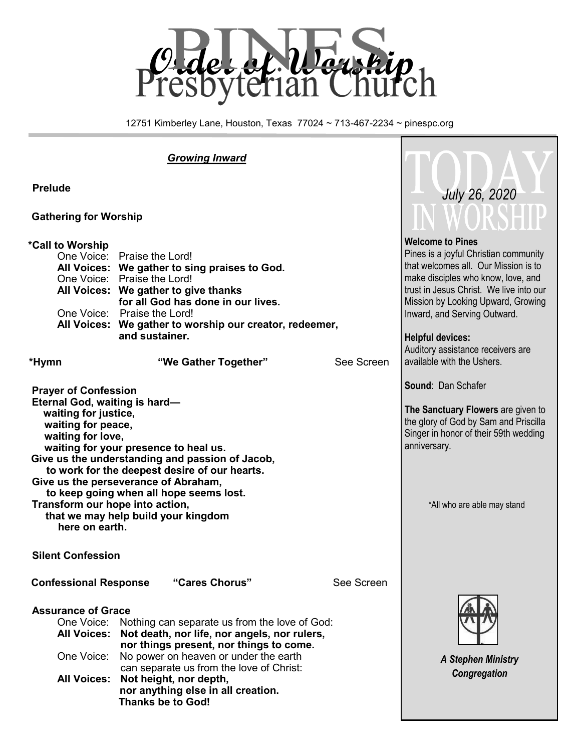

12751 Kimberley Lane, Houston, Texas 77024 ~ 713-467-2234 ~ pinespc.org

*Growing Inward*

# **Prelude**

# **Gathering for Worship**

# **\*Call to Worship**

| One Voice: Praise the Lord!                             |
|---------------------------------------------------------|
| All Voices: We gather to sing praises to God.           |
| One Voice: Praise the Lord!                             |
| All Voices: We gather to give thanks                    |
| for all God has done in our lives.                      |
| One Voice: Praise the Lord!                             |
| All Voices: We gather to worship our creator, redeemer, |
| and sustainer.                                          |

 **\*Hymn "We Gather Together"** See Screen

- **Prayer of Confession Eternal God, waiting is hard waiting for justice, waiting for peace, waiting for love, waiting for your presence to heal us. Give us the understanding and passion of Jacob, to work for the deepest desire of our hearts. Give us the perseverance of Abraham, to keep going when all hope seems lost. Transform our hope into action, that we may help build your kingdom here on earth.**
- **Silent Confession**

# **Confessional Response "Cares Chorus"** See Screen

# **Assurance of Grace**

| One Voice: Nothing can separate us from the love of God: |
|----------------------------------------------------------|
| All Voices: Not death, nor life, nor angels, nor rulers, |
| nor things present, nor things to come.                  |
| One Voice: No power on heaven or under the earth         |
| can separate us from the love of Christ:                 |
| All Voices: Not height, nor depth,                       |
| nor anything else in all creation.                       |
| Thanks be to God!                                        |

 *July 26, 2020*

### **Welcome to Pines** Pines is a joyful Christian community that welcomes all. Our Mission is to make disciples who know, love, and trust in Jesus Christ. We live into our Mission by Looking Upward, Growing Inward, and Serving Outward.

# **Helpful devices:**

Auditory assistance receivers are available with the Ushers.

**Sound**: Dan Schafer

**The Sanctuary Flowers** are given to the glory of God by Sam and Priscilla Singer in honor of their 59th wedding anniversary.

\*All who are able may stand



*A Stephen Ministry Congregation*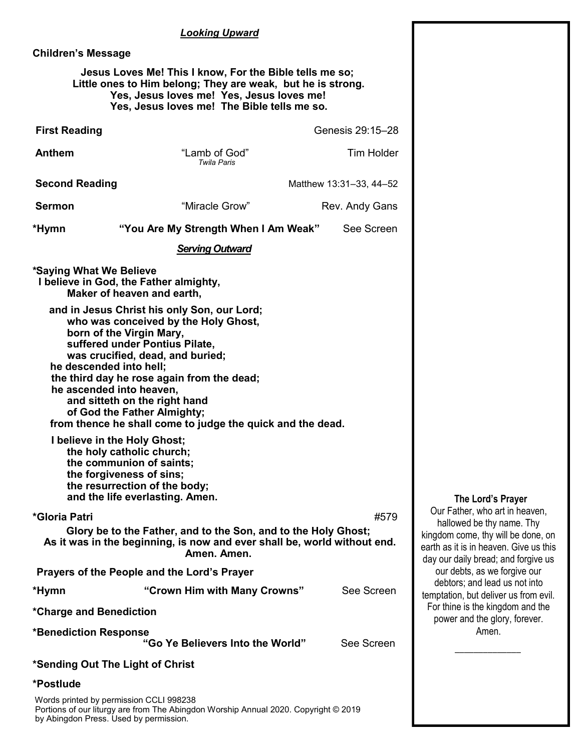### *Looking Upward*

# **Children's Message**

### **Jesus Loves Me! This I know, For the Bible tells me so; Little ones to Him belong; They are weak, but he is strong. Yes, Jesus loves me! Yes, Jesus loves me! Yes, Jesus loves me! The Bible tells me so.**

| <b>First Reading</b>             |                                                                                                                                                                                                                                                                                                                                                                                                                                                                                                                                                     | Genesis 29:15-28        |                                                                                                                  |  |
|----------------------------------|-----------------------------------------------------------------------------------------------------------------------------------------------------------------------------------------------------------------------------------------------------------------------------------------------------------------------------------------------------------------------------------------------------------------------------------------------------------------------------------------------------------------------------------------------------|-------------------------|------------------------------------------------------------------------------------------------------------------|--|
| <b>Anthem</b>                    | "Lamb of God"<br><b>Twila Paris</b>                                                                                                                                                                                                                                                                                                                                                                                                                                                                                                                 | <b>Tim Holder</b>       |                                                                                                                  |  |
| <b>Second Reading</b>            |                                                                                                                                                                                                                                                                                                                                                                                                                                                                                                                                                     | Matthew 13:31-33, 44-52 |                                                                                                                  |  |
| <b>Sermon</b>                    | "Miracle Grow"                                                                                                                                                                                                                                                                                                                                                                                                                                                                                                                                      | Rev. Andy Gans          |                                                                                                                  |  |
| *Hymn                            | "You Are My Strength When I Am Weak"                                                                                                                                                                                                                                                                                                                                                                                                                                                                                                                | See Screen              |                                                                                                                  |  |
|                                  | <b>Serving Outward</b>                                                                                                                                                                                                                                                                                                                                                                                                                                                                                                                              |                         |                                                                                                                  |  |
| *Saying What We Believe          | I believe in God, the Father almighty,<br>Maker of heaven and earth,                                                                                                                                                                                                                                                                                                                                                                                                                                                                                |                         |                                                                                                                  |  |
| he descended into hell;          | and in Jesus Christ his only Son, our Lord;<br>who was conceived by the Holy Ghost,<br>born of the Virgin Mary,<br>suffered under Pontius Pilate,<br>was crucified, dead, and buried;<br>the third day he rose again from the dead;<br>he ascended into heaven,<br>and sitteth on the right hand<br>of God the Father Almighty;<br>from thence he shall come to judge the quick and the dead.<br>I believe in the Holy Ghost;<br>the holy catholic church;<br>the communion of saints;<br>the forgiveness of sins;<br>the resurrection of the body; |                         |                                                                                                                  |  |
| *Gloria Patri                    | and the life everlasting. Amen.                                                                                                                                                                                                                                                                                                                                                                                                                                                                                                                     |                         | The Lord's Pray<br>Our Father, who art in h                                                                      |  |
|                                  | Glory be to the Father, and to the Son, and to the Holy Ghost;<br>As it was in the beginning, is now and ever shall be, world without end.<br>Amen. Amen.                                                                                                                                                                                                                                                                                                                                                                                           | #579                    | hallowed be thy name<br>kingdom come, thy will be<br>earth as it is in heaven. Git<br>day our daily bread; and f |  |
|                                  | Prayers of the People and the Lord's Prayer                                                                                                                                                                                                                                                                                                                                                                                                                                                                                                         |                         | our debts, as we forgiv<br>debtors; and lead us no                                                               |  |
| *Hymn                            | "Crown Him with Many Crowns"                                                                                                                                                                                                                                                                                                                                                                                                                                                                                                                        | See Screen              | temptation, but deliver us                                                                                       |  |
| *Charge and Benediction          |                                                                                                                                                                                                                                                                                                                                                                                                                                                                                                                                                     |                         | For thine is the kingdom<br>power and the glory, fo                                                              |  |
| *Benediction Response            | "Go Ye Believers Into the World"                                                                                                                                                                                                                                                                                                                                                                                                                                                                                                                    | See Screen              | Amen.                                                                                                            |  |
| *Sending Out The Light of Christ |                                                                                                                                                                                                                                                                                                                                                                                                                                                                                                                                                     |                         |                                                                                                                  |  |
| *Postlude                        |                                                                                                                                                                                                                                                                                                                                                                                                                                                                                                                                                     |                         |                                                                                                                  |  |

 **The Lord's Prayer** Our Father, who art in heaven,

hallowed be thy name. Thy kingdom come, thy will be done, on earth as it is in heaven. Give us this day our daily bread; and forgive us our debts, as we forgive our debtors; and lead us not into temptation, but deliver us from evil. For thine is the kingdom and the power and the glory, forever. Amen.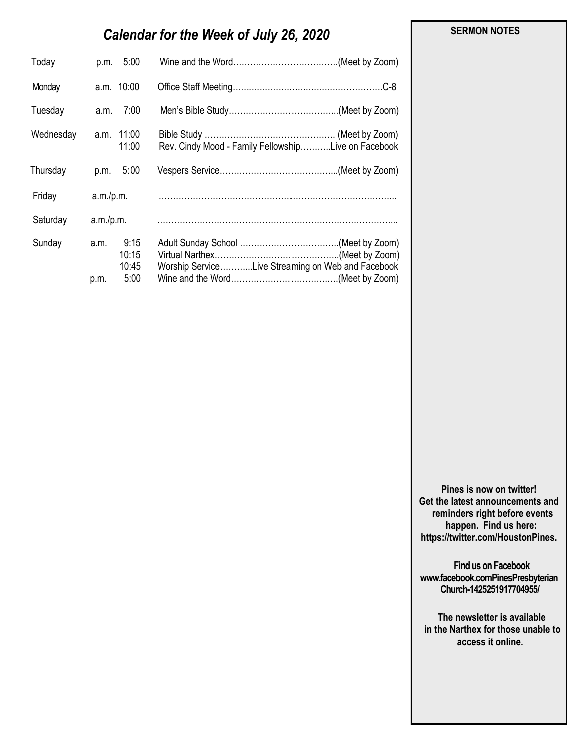# *Calendar for the Week of July 26, 2020*

| Today     | 5:00<br>p.m.                                   |                                                     |
|-----------|------------------------------------------------|-----------------------------------------------------|
| Monday    | a.m. 10:00                                     |                                                     |
| Tuesday   | 7:00<br>a.m.                                   |                                                     |
| Wednesday | a.m. 11:00<br>11:00                            | Rev. Cindy Mood - Family FellowshipLive on Facebook |
| Thursday  | 5:00<br>p.m.                                   |                                                     |
| Friday    |                                                |                                                     |
| Saturday  |                                                |                                                     |
| Sunday    | 9:15<br>a.m.<br>10:15<br>10:45<br>5:00<br>p.m. | Worship ServiceLive Streaming on Web and Facebook   |

 **SERMON NOTES** 

**Pines is now on twitter! Get the latest announcements and reminders right before events happen. Find us here: https://twitter.com/HoustonPines.** 

 **Find us on Facebook www.facebook.comPinesPresbyterian Church-1425251917704955/**

 **The newsletter is available in the Narthex for those unable to access it online.**